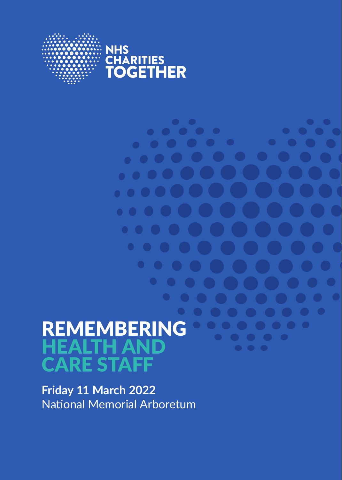

 $\bullet\hspace{0.2cm} \bullet\hspace{0.2cm} \bullet\hspace{0.2cm} \bullet\hspace{0.2cm} \bullet\hspace{0.2cm} \bullet\hspace{0.2cm} \bullet$ 

 $\bullet\bullet\bullet\bullet$ 

 $\bullet$   $\bullet$   $\bullet$   $\bullet$ 

 $\bullet$   $\bullet$   $\bullet$   $\bullet$ 

 $\bullet$   $\bullet$   $\bullet$ 

 $\bullet$   $\bullet$   $\bullet$ 

 $\bullet$   $\bullet$ 

 $\bullet$   $\bullet$   $\bullet$ 

 $\bullet$   $\bullet$   $\bullet$ 

 $\bullet$   $\bullet$ 

 $\bullet$   $\bullet$   $\bullet$   $\bullet$ 

<u>and Communication of the Communication of the Communication of the Communication of the Communication of the </u>

. . .

. . . .

. . . .

 $\bullet\bullet$ 

# REMEMBERING HEALTH AND CARE STAFF

**Friday 11 March 2022** National Memorial Arboretum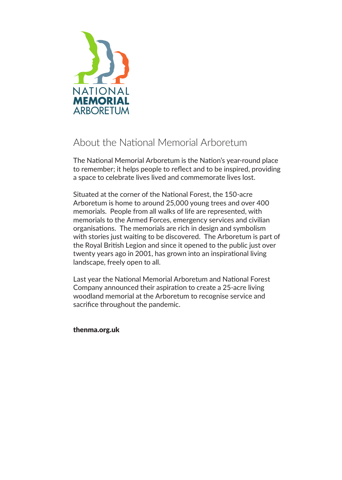

### About the National Memorial Arboretum

The National Memorial Arboretum is the Nation's year-round place to remember; it helps people to reflect and to be inspired, providing a space to celebrate lives lived and commemorate lives lost.

Situated at the corner of the National Forest, the 150-acre Arboretum is home to around 25,000 young trees and over 400 memorials. People from all walks of life are represented, with memorials to the Armed Forces, emergency services and civilian organisations. The memorials are rich in design and symbolism with stories just waiting to be discovered. The Arboretum is part of the Royal British Legion and since it opened to the public just over twenty years ago in 2001, has grown into an inspirational living landscape, freely open to all.

Last year the National Memorial Arboretum and National Forest Company announced their aspiration to create a 25-acre living woodland memorial at the Arboretum to recognise service and sacrifice throughout the pandemic.

#### thenma.org.uk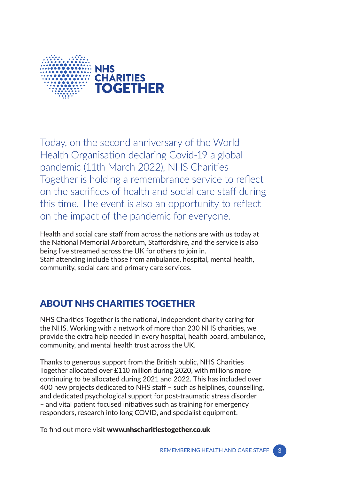

Today, on the second anniversary of the World Health Organisation declaring Covid-19 a global pandemic (11th March 2022), NHS Charities Together is holding a remembrance service to reflect on the sacrifices of health and social care staff during this time. The event is also an opportunity to reflect on the impact of the pandemic for everyone.

Health and social care staff from across the nations are with us today at the National Memorial Arboretum, Staffordshire, and the service is also being live streamed across the UK for others to join in. Staff attending include those from ambulance, hospital, mental health, community, social care and primary care services.

### ABOUT NHS CHARITIES TOGETHER

NHS Charities Together is the national, independent charity caring for the NHS. Working with a network of more than 230 NHS charities, we provide the extra help needed in every hospital, health board, ambulance, community, and mental health trust across the UK.

Thanks to generous support from the British public, NHS Charities Together allocated over £110 million during 2020, with millions more continuing to be allocated during 2021 and 2022. This has included over 400 new projects dedicated to NHS staff – such as helplines, counselling, and dedicated psychological support for post-traumatic stress disorder – and vital patient focused initiatives such as training for emergency responders, research into long COVID, and specialist equipment.

To find out more visit www.nhscharitiestogether.co.uk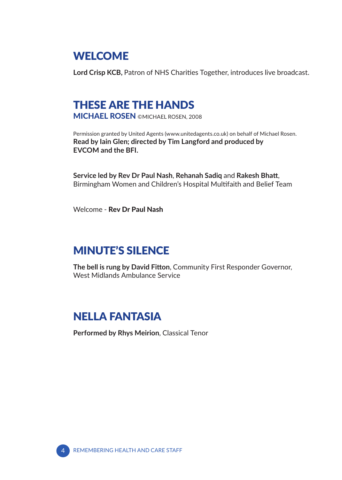### WELCOME

**Lord Crisp KCB,** Patron of NHS Charities Together, introduces live broadcast.

# THESE ARE THE HANDS

MICHAEL ROSEN ©MICHAEL ROSEN, 2008

Permission granted by United Agents (www.unitedagents.co.uk) on behalf of Michael Rosen. **Read by Iain Glen; directed by Tim Langford and produced by EVCOM and the BFI.**

**Service led by Rev Dr Paul Nash**, **Rehanah Sadiq** and **Rakesh Bhatt**, Birmingham Women and Children's Hospital Multifaith and Belief Team

Welcome - Rev Dr Paul Nash

# MINUTE'S SILENCE

**The bell is rung by David Fitton**, Community First Responder Governor, West Midlands Ambulance Service

# NELLA FANTASIA

**Performed by Rhys Meirion**, Classical Tenor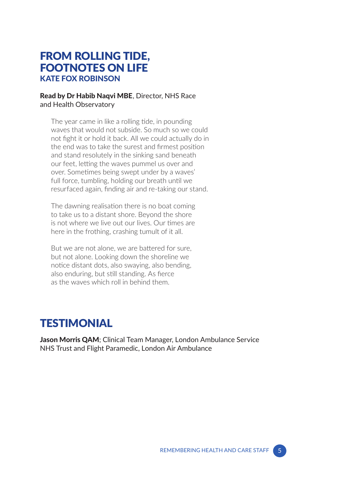#### FROM ROLLING TIDE, FOOTNOTES ON LIFE KATE FOX ROBINSON

#### Read by Dr Habib Naqvi MBE, Director, NHS Race and Health Observatory

The year came in like a rolling tide, in pounding waves that would not subside. So much so we could not fight it or hold it back. All we could actually do in the end was to take the surest and firmest position and stand resolutely in the sinking sand beneath our feet, letting the waves pummel us over and over. Sometimes being swept under by a waves' full force, tumbling, holding our breath until we resurfaced again, finding air and re-taking our stand.

The dawning realisation there is no boat coming to take us to a distant shore. Beyond the shore is not where we live out our lives. Our times are here in the frothing, crashing tumult of it all.

But we are not alone, we are battered for sure, but not alone. Looking down the shoreline we notice distant dots, also swaying, also bending, also enduring, but still standing. As fierce as the waves which roll in behind them.

# **TESTIMONIAL**

Jason Morris QAM; Clinical Team Manager, London Ambulance Service NHS Trust and Flight Paramedic, London Air Ambulance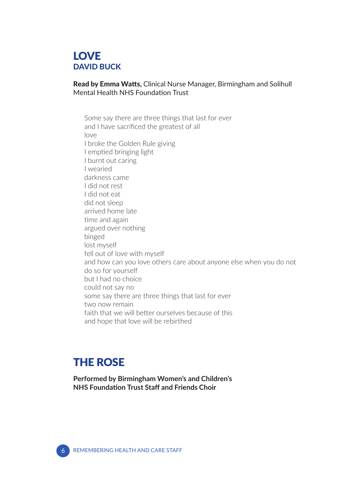#### **LOVE** DAVID BUCK

#### Read by Emma Watts, Clinical Nurse Manager, Birmingham and Solihull Mental Health NHS Foundation Trust

Some say there are three things that last for ever and I have sacrificed the greatest of all love I broke the Golden Rule giving I emptied bringing light I burnt out caring I wearied darkness came I did not rest I did not eat did not sleep arrived home late time and again argued over nothing binged lost myself fell out of love with myself and how can you love others care about anyone else when you do not do so for yourself but I had no choice could not say no some say there are three things that last for ever two now remain faith that we will better ourselves because of this and hope that love will be rebirthed

# THE ROSE

**Performed by Birmingham Women's and Children's NHS Foundation Trust Staff and Friends Choir**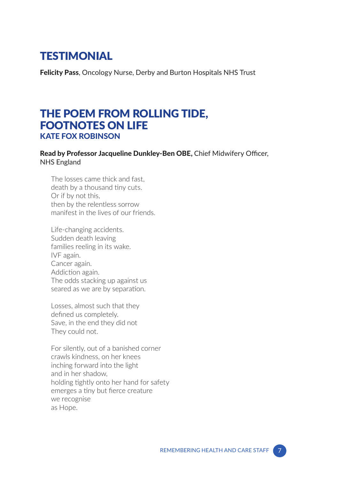### **TESTIMONIAL**

Felicity Pass, Oncology Nurse, Derby and Burton Hospitals NHS Trust

### THE POEM FROM ROLLING TIDE, FOOTNOTES ON LIFE KATE FOX ROBINSON

#### Read by Professor Jacqueline Dunkley-Ben OBE, Chief Midwifery Officer, NHS England

The losses came thick and fast, death by a thousand tiny cuts. Or if by not this, then by the relentless sorrow manifest in the lives of our friends.

Life-changing accidents. Sudden death leaving families reeling in its wake. IVF again. Cancer again. Addiction again. The odds stacking up against us seared as we are by separation.

Losses, almost such that they defined us completely. Save, in the end they did not They could not.

For silently, out of a banished corner crawls kindness, on her knees inching forward into the light and in her shadow, holding tightly onto her hand for safety emerges a tiny but fierce creature we recognise as Hope.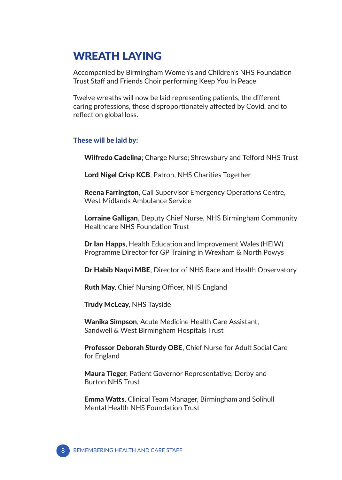# WREATH LAYING

Accompanied by Birmingham Women's and Children's NHS Foundation Trust Staff and Friends Choir performing Keep You In Peace

Twelve wreaths will now be laid representing patients, the different caring professions, those disproportionately affected by Covid, and to reflect on global loss.

#### These will be laid by:

Wilfredo Cadelina; Charge Nurse; Shrewsbury and Telford NHS Trust

Lord Nigel Crisp KCB, Patron, NHS Charities Together

Reena Farrington, Call Supervisor Emergency Operations Centre, West Midlands Ambulance Service

Lorraine Galligan, Deputy Chief Nurse, NHS Birmingham Community Healthcare NHS Foundation Trust

Dr Ian Happs, Health Education and Improvement Wales (HEIW) Programme Director for GP Training in Wrexham & North Powys

Dr Habib Naqvi MBE, Director of NHS Race and Health Observatory

Ruth May, Chief Nursing Officer, NHS England

**Trudy McLeay, NHS Tayside** 

Wanika Simpson, Acute Medicine Health Care Assistant, Sandwell & West Birmingham Hospitals Trust

Professor Deborah Sturdy OBE, Chief Nurse for Adult Social Care for England

Maura Tieger, Patient Governor Representative; Derby and Burton NHS Trust

Emma Watts, Clinical Team Manager, Birmingham and Solihull Mental Health NHS Foundation Trust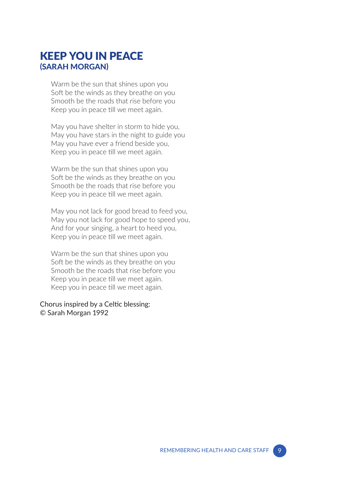### KEEP YOU IN PEACE (SARAH MORGAN)

Warm be the sun that shines upon you Soft be the winds as they breathe on you Smooth be the roads that rise before you Keep you in peace till we meet again.

May you have shelter in storm to hide you, May you have stars in the night to guide you May you have ever a friend beside you, Keep you in peace till we meet again.

Warm be the sun that shines upon you Soft be the winds as they breathe on you Smooth be the roads that rise before you Keep you in peace till we meet again.

May you not lack for good bread to feed you, May you not lack for good hope to speed you, And for your singing, a heart to heed you, Keep you in peace till we meet again.

Warm be the sun that shines upon you Soft be the winds as they breathe on you Smooth be the roads that rise before you Keep you in peace till we meet again. Keep you in peace till we meet again.

Chorus inspired by a Celtic blessing: © Sarah Morgan 1992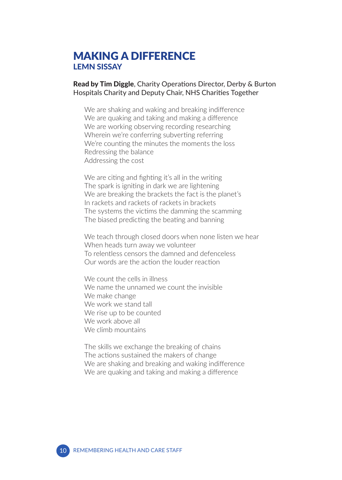### MAKING A DIFFERENCE LEMN SISSAY

Read by Tim Diggle, Charity Operations Director, Derby & Burton Hospitals Charity and Deputy Chair, NHS Charities Together

We are shaking and waking and breaking indifference We are quaking and taking and making a difference We are working observing recording researching Wherein we're conferring subverting referring We're counting the minutes the moments the loss Redressing the balance Addressing the cost

We are citing and fighting it's all in the writing The spark is igniting in dark we are lightening We are breaking the brackets the fact is the planet's In rackets and rackets of rackets in brackets The systems the victims the damming the scamming The biased predicting the beating and banning

We teach through closed doors when none listen we hear When heads turn away we volunteer To relentless censors the damned and defenceless Our words are the action the louder reaction

We count the cells in illness We name the unnamed we count the invisible We make change We work we stand tall We rise up to be counted We work above all We climb mountains

The skills we exchange the breaking of chains The actions sustained the makers of change We are shaking and breaking and waking indifference We are quaking and taking and making a difference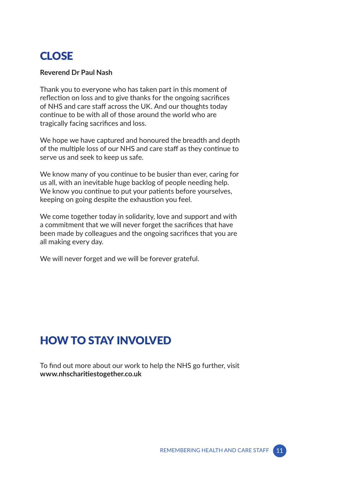### CLOSE

#### **Reverend Dr Paul Nash**

Thank you to everyone who has taken part in this moment of reflection on loss and to give thanks for the ongoing sacrifices of NHS and care staff across the UK. And our thoughts today continue to be with all of those around the world who are tragically facing sacrifices and loss.

We hope we have captured and honoured the breadth and depth of the multiple loss of our NHS and care staff as they continue to serve us and seek to keep us safe.

We know many of you continue to be busier than ever, caring for us all, with an inevitable huge backlog of people needing help. We know you continue to put your patients before yourselves, keeping on going despite the exhaustion you feel.

We come together today in solidarity, love and support and with a commitment that we will never forget the sacrifices that have been made by colleagues and the ongoing sacrifices that you are all making every day.

We will never forget and we will be forever grateful.

# HOW TO STAY INVOLVED

To find out more about our work to help the NHS go further, visit **www.nhscharitiestogether.co.uk**

REMEMBERING HEALTH AND CARE STAFF 11